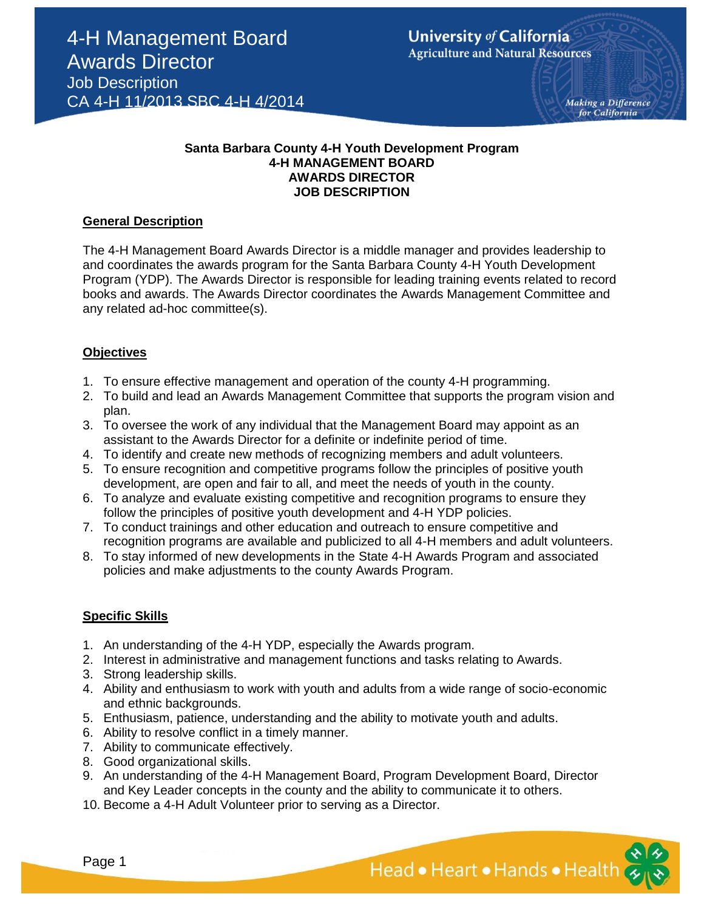Making a Difference for California

# **Santa Barbara County 4-H Youth Development Program 4-H MANAGEMENT BOARD AWARDS DIRECTOR JOB DESCRIPTION**

#### **General Description**

The 4-H Management Board Awards Director is a middle manager and provides leadership to and coordinates the awards program for the Santa Barbara County 4-H Youth Development Program (YDP). The Awards Director is responsible for leading training events related to record books and awards. The Awards Director coordinates the Awards Management Committee and any related ad-hoc committee(s).

#### **Objectives**

- 1. To ensure effective management and operation of the county 4-H programming.
- 2. To build and lead an Awards Management Committee that supports the program vision and plan.
- 3. To oversee the work of any individual that the Management Board may appoint as an assistant to the Awards Director for a definite or indefinite period of time.
- 4. To identify and create new methods of recognizing members and adult volunteers.
- 5. To ensure recognition and competitive programs follow the principles of positive youth development, are open and fair to all, and meet the needs of youth in the county.
- 6. To analyze and evaluate existing competitive and recognition programs to ensure they follow the principles of positive youth development and 4-H YDP policies.
- 7. To conduct trainings and other education and outreach to ensure competitive and recognition programs are available and publicized to all 4-H members and adult volunteers.
- 8. To stay informed of new developments in the State 4-H Awards Program and associated policies and make adjustments to the county Awards Program.

## **Specific Skills**

- 1. An understanding of the 4-H YDP, especially the Awards program.
- 2. Interest in administrative and management functions and tasks relating to Awards.
- 3. Strong leadership skills.
- 4. Ability and enthusiasm to work with youth and adults from a wide range of socio-economic and ethnic backgrounds.
- 5. Enthusiasm, patience, understanding and the ability to motivate youth and adults.
- 6. Ability to resolve conflict in a timely manner.
- 7. Ability to communicate effectively.
- 8. Good organizational skills.
- 9. An understanding of the 4-H Management Board, Program Development Board, Director and Key Leader concepts in the county and the ability to communicate it to others.
- 10. Become a 4-H Adult Volunteer prior to serving as a Director.

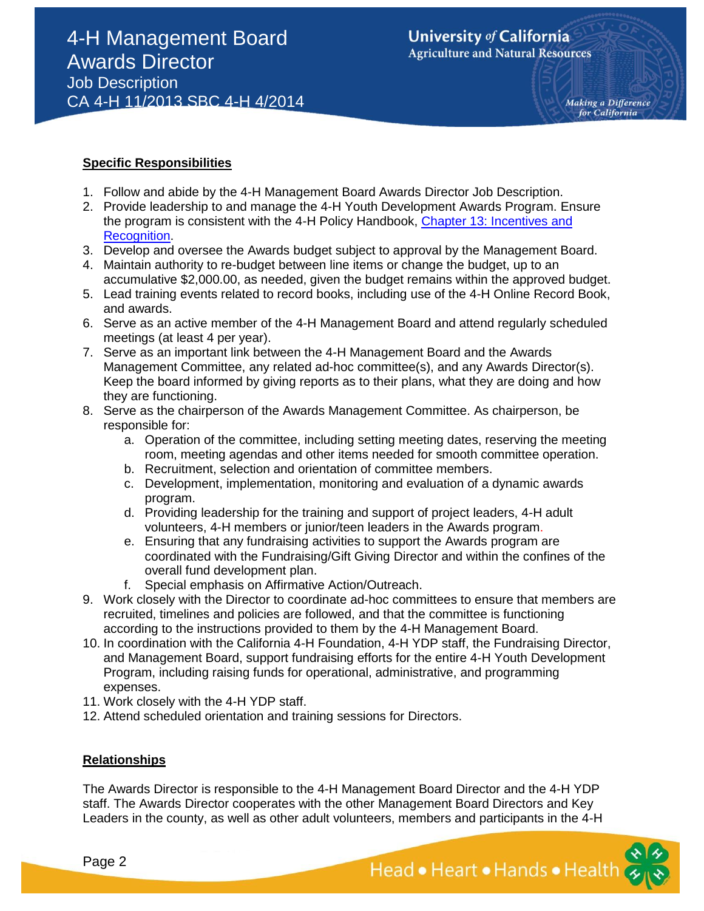#### **Specific Responsibilities**

- 1. Follow and abide by the 4-H Management Board Awards Director Job Description.
- 2. Provide leadership to and manage the 4-H Youth Development Awards Program. Ensure the program is consistent with the 4-H Policy Handbook, [Chapter 13: Incentives](http://www.ca4h.org/Administration/Policies/Chapter13/) and Recognition.
- 3. Develop and oversee the Awards budget subject to approval by the Management Board.
- 4. Maintain authority to re-budget between line items or change the budget, up to an accumulative \$2,000.00, as needed, given the budget remains within the approved budget.
- 5. Lead training events related to record books, including use of the 4-H Online Record Book, and awards.
- 6. Serve as an active member of the 4-H Management Board and attend regularly scheduled meetings (at least 4 per year).
- 7. Serve as an important link between the 4-H Management Board and the Awards Management Committee, any related ad-hoc committee(s), and any Awards Director(s). Keep the board informed by giving reports as to their plans, what they are doing and how they are functioning.
- 8. Serve as the chairperson of the Awards Management Committee. As chairperson, be responsible for:
	- a. Operation of the committee, including setting meeting dates, reserving the meeting room, meeting agendas and other items needed for smooth committee operation.
	- b. Recruitment, selection and orientation of committee members.
	- c. Development, implementation, monitoring and evaluation of a dynamic awards program.
	- d. Providing leadership for the training and support of project leaders, 4-H adult volunteers, 4-H members or junior/teen leaders in the Awards program.
	- e. Ensuring that any fundraising activities to support the Awards program are coordinated with the Fundraising/Gift Giving Director and within the confines of the overall fund development plan.
	- f. Special emphasis on Affirmative Action/Outreach.
- 9. Work closely with the Director to coordinate ad-hoc committees to ensure that members are recruited, timelines and policies are followed, and that the committee is functioning according to the instructions provided to them by the 4-H Management Board.
- 10. In coordination with the California 4-H Foundation, 4-H YDP staff, the Fundraising Director, and Management Board, support fundraising efforts for the entire 4-H Youth Development Program, including raising funds for operational, administrative, and programming expenses.
- 11. Work closely with the 4-H YDP staff.
- 12. Attend scheduled orientation and training sessions for Directors.

#### **Relationships**

The Awards Director is responsible to the 4-H Management Board Director and the 4-H YDP staff. The Awards Director cooperates with the other Management Board Directors and Key Leaders in the county, as well as other adult volunteers, members and participants in the 4-H

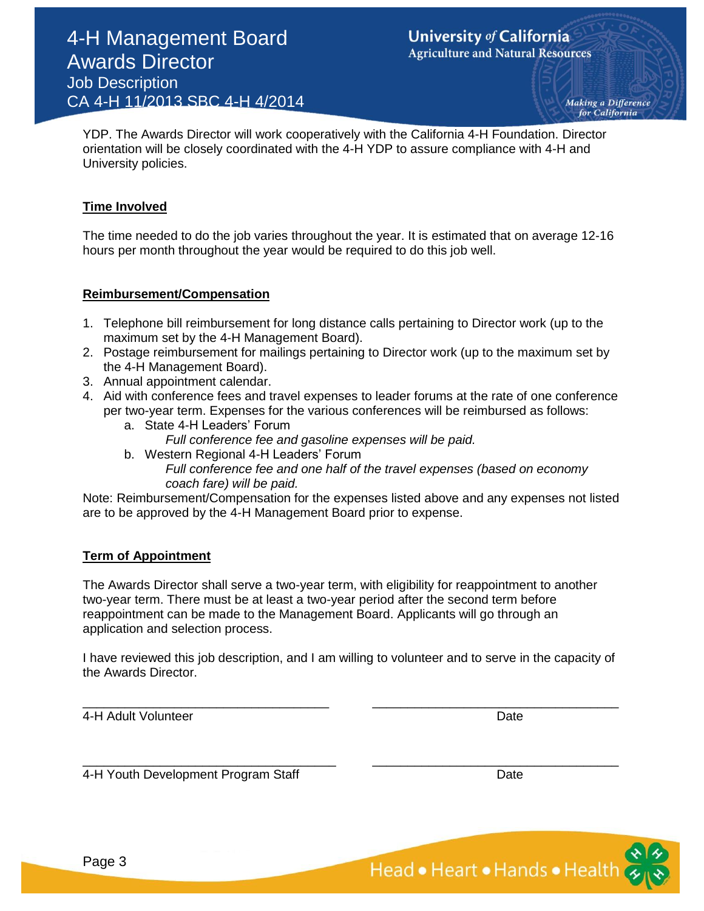Making a Difference for California

YDP. The Awards Director will work cooperatively with the California 4-H Foundation. Director orientation will be closely coordinated with the 4-H YDP to assure compliance with 4-H and University policies.

## **Time Involved**

The time needed to do the job varies throughout the year. It is estimated that on average 12-16 hours per month throughout the year would be required to do this job well.

#### **Reimbursement/Compensation**

- 1. Telephone bill reimbursement for long distance calls pertaining to Director work (up to the maximum set by the 4-H Management Board).
- 2. Postage reimbursement for mailings pertaining to Director work (up to the maximum set by the 4-H Management Board).
- 3. Annual appointment calendar.
- 4. Aid with conference fees and travel expenses to leader forums at the rate of one conference per two-year term. Expenses for the various conferences will be reimbursed as follows:
	- a. State 4-H Leaders' Forum *Full conference fee and gasoline expenses will be paid.*
	- b. Western Regional 4-H Leaders' Forum *Full conference fee and one half of the travel expenses (based on economy coach fare) will be paid.*

Note: Reimbursement/Compensation for the expenses listed above and any expenses not listed are to be approved by the 4-H Management Board prior to expense.

## **Term of Appointment**

The Awards Director shall serve a two-year term, with eligibility for reappointment to another two-year term. There must be at least a two-year period after the second term before reappointment can be made to the Management Board. Applicants will go through an application and selection process.

I have reviewed this job description, and I am willing to volunteer and to serve in the capacity of the Awards Director.

\_\_\_\_\_\_\_\_\_\_\_\_\_\_\_\_\_\_\_\_\_\_\_\_\_\_\_\_\_\_\_\_\_\_\_ \_\_\_\_\_\_\_\_\_\_\_\_\_\_\_\_\_\_\_\_\_\_\_\_\_\_\_\_\_\_\_\_\_\_\_

\_\_\_\_\_\_\_\_\_\_\_\_\_\_\_\_\_\_\_\_\_\_\_\_\_\_\_\_\_\_\_\_\_\_\_\_ \_\_\_\_\_\_\_\_\_\_\_\_\_\_\_\_\_\_\_\_\_\_\_\_\_\_\_\_\_\_\_\_\_\_\_

4-H Adult Volunteer **Date** Date **Date** Date **Date** 

4-H Youth Development Program Staff Date Date Date